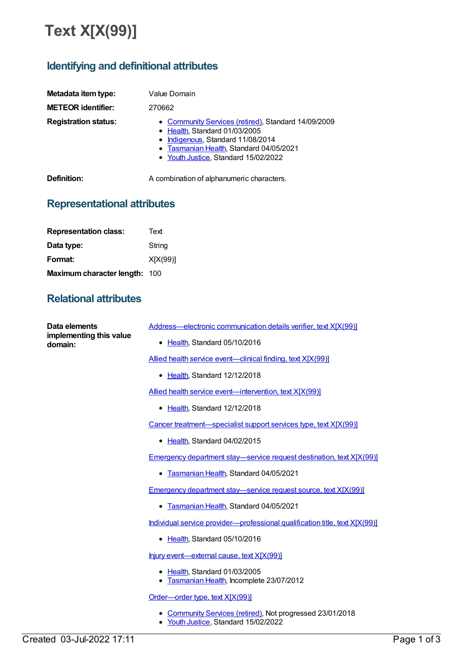## **Text X[X(99)]**

## **Identifying and definitional attributes**

| Metadata item type:<br><b>METEOR identifier:</b> | Value Domain<br>270662                                                                                                                                                                                       |
|--------------------------------------------------|--------------------------------------------------------------------------------------------------------------------------------------------------------------------------------------------------------------|
| <b>Registration status:</b>                      | • Community Services (retired), Standard 14/09/2009<br>• Health, Standard 01/03/2005<br>• Indigenous, Standard 11/08/2014<br>• Tasmanian Health, Standard 04/05/2021<br>• Youth Justice, Standard 15/02/2022 |
| Definition:                                      | A combination of alphanumeric characters.                                                                                                                                                                    |

## **Representational attributes**

| <b>Representation class:</b>  | Text     |
|-------------------------------|----------|
| Data type:                    | String   |
| Format:                       | X[X(99)] |
| Maximum character length: 100 |          |

## **Relational attributes**

| Data elements<br>implementing this value<br>domain: | Address-electronic communication details verifier, text X[X(99)]                                |
|-----------------------------------------------------|-------------------------------------------------------------------------------------------------|
|                                                     | • Health, Standard 05/10/2016                                                                   |
|                                                     | Allied health service event—clinical finding, text X[X(99)]                                     |
|                                                     | • Health, Standard 12/12/2018                                                                   |
|                                                     | Allied health service event—intervention, text X[X(99)]                                         |
|                                                     | • Health, Standard 12/12/2018                                                                   |
|                                                     | Cancer treatment—specialist support services type, text X[X(99)]                                |
|                                                     | Health, Standard 04/02/2015                                                                     |
|                                                     | <u>Emergency department stay—service request destination, text X[X(99)]</u>                     |
|                                                     | • Tasmanian Health, Standard 04/05/2021                                                         |
|                                                     | <b>Emergency department stay—service request source, text X[X(99)]</b>                          |
|                                                     | • Tasmanian Health, Standard 04/05/2021                                                         |
|                                                     | Individual service provider-professional qualification title, text X[X(99)]                     |
|                                                     | • Health, Standard 05/10/2016                                                                   |
|                                                     | Injury event-external cause, text X[X(99)]                                                      |
|                                                     | • Health, Standard 01/03/2005<br>• Tasmanian Health, Incomplete 23/07/2012                      |
|                                                     | Order-order type, text X[X(99)]                                                                 |
|                                                     | Community Services (retired), Not progressed 23/01/2018<br>• Youth Justice, Standard 15/02/2022 |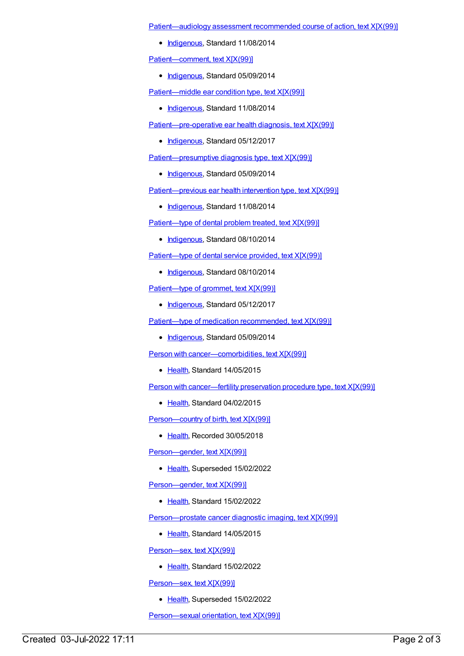[Patient—audiology](https://meteor.aihw.gov.au/content/505007) assessment recommended course of action, text X[X(99)]

• [Indigenous](https://meteor.aihw.gov.au/RegistrationAuthority/6), Standard 11/08/2014

[Patient—comment,](https://meteor.aihw.gov.au/content/507906) text X[X(99)]

[Indigenous](https://meteor.aihw.gov.au/RegistrationAuthority/6), Standard 05/09/2014

[Patient—middle](https://meteor.aihw.gov.au/content/504383) ear condition type, text X[X(99)]

• [Indigenous](https://meteor.aihw.gov.au/RegistrationAuthority/6), Standard 11/08/2014

[Patient—pre-operative](https://meteor.aihw.gov.au/content/567930) ear health diagnosis, text X[X(99)]

• [Indigenous](https://meteor.aihw.gov.au/RegistrationAuthority/6), Standard 05/12/2017

[Patient—presumptive](https://meteor.aihw.gov.au/content/508350) diagnosis type, text X[X(99)]

• [Indigenous](https://meteor.aihw.gov.au/RegistrationAuthority/6), Standard 05/09/2014

[Patient—previous](https://meteor.aihw.gov.au/content/500225) ear health intervention type, text X[X(99)]

• [Indigenous](https://meteor.aihw.gov.au/RegistrationAuthority/6), Standard 11/08/2014

[Patient—type](https://meteor.aihw.gov.au/content/499200) of dental problem treated, text X[X(99)]

• [Indigenous](https://meteor.aihw.gov.au/RegistrationAuthority/6), Standard 08/10/2014

[Patient—type](https://meteor.aihw.gov.au/content/499196) of dental service provided, text X[X(99)]

• [Indigenous](https://meteor.aihw.gov.au/RegistrationAuthority/6), Standard 08/10/2014

[Patient—type](https://meteor.aihw.gov.au/content/568520) of grommet, text X[X(99)]

• [Indigenous](https://meteor.aihw.gov.au/RegistrationAuthority/6), Standard 05/12/2017

Patient—type of medication [recommended,](https://meteor.aihw.gov.au/content/525553) text X[X(99)]

• [Indigenous](https://meteor.aihw.gov.au/RegistrationAuthority/6), Standard 05/09/2014

Person with [cancer—comorbidities,](https://meteor.aihw.gov.au/content/463562) text X[X(99)]

• [Health](https://meteor.aihw.gov.au/RegistrationAuthority/12), Standard 14/05/2015

Person with [cancer—fertility](https://meteor.aihw.gov.au/content/463550) preservation procedure type, text X[X(99)]

• [Health](https://meteor.aihw.gov.au/RegistrationAuthority/12), Standard 04/02/2015

[Person—country](https://meteor.aihw.gov.au/content/696778) of birth, text X[X(99)]

● [Health](https://meteor.aihw.gov.au/RegistrationAuthority/12), Recorded 30/05/2018

[Person—gender,](https://meteor.aihw.gov.au/content/637351) text X[X(99)]

• [Health](https://meteor.aihw.gov.au/RegistrationAuthority/12), Superseded 15/02/2022

[Person—gender,](https://meteor.aihw.gov.au/content/741853) text X[X(99)]

● [Health](https://meteor.aihw.gov.au/RegistrationAuthority/12), Standard 15/02/2022

[Person—prostate](https://meteor.aihw.gov.au/content/481987) cancer diagnostic imaging, text X[X(99)]

• [Health](https://meteor.aihw.gov.au/RegistrationAuthority/12), Standard 14/05/2015

[Person—sex,](https://meteor.aihw.gov.au/content/741731) text X[X(99)]

• [Health](https://meteor.aihw.gov.au/RegistrationAuthority/12), Standard 15/02/2022

Person-sex, text X[X(99)]

• [Health](https://meteor.aihw.gov.au/RegistrationAuthority/12), Superseded 15/02/2022

Person-sexual orientation, text X[X(99)]